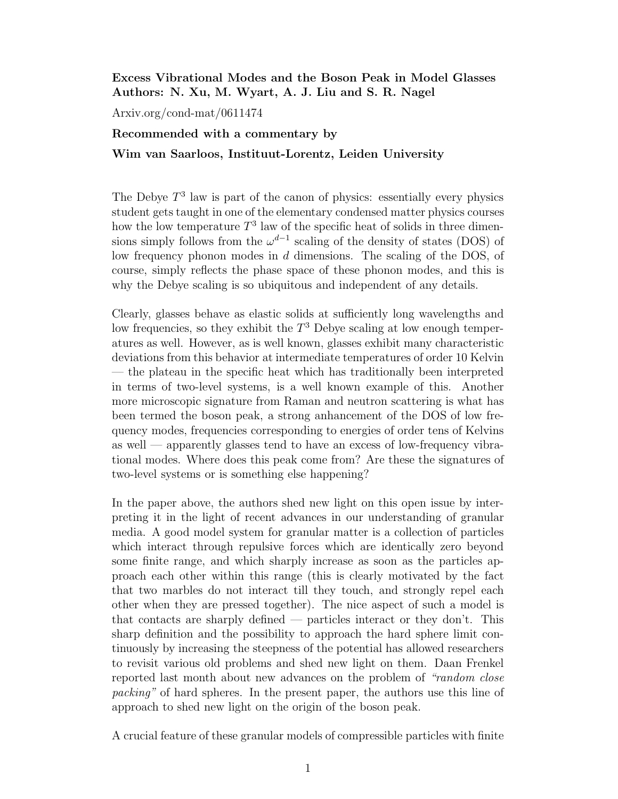## Excess Vibrational Modes and the Boson Peak in Model Glasses Authors: N. Xu, M. Wyart, A. J. Liu and S. R. Nagel

Arxiv.org/cond-mat/0611474

## Recommended with a commentary by

## Wim van Saarloos, Instituut-Lorentz, Leiden University

The Debye  $T^3$  law is part of the canon of physics: essentially every physics student gets taught in one of the elementary condensed matter physics courses how the low temperature  $T^3$  law of the specific heat of solids in three dimensions simply follows from the  $\omega^{d-1}$  scaling of the density of states (DOS) of low frequency phonon modes in d dimensions. The scaling of the DOS, of course, simply reflects the phase space of these phonon modes, and this is why the Debye scaling is so ubiquitous and independent of any details.

Clearly, glasses behave as elastic solids at sufficiently long wavelengths and low frequencies, so they exhibit the  $T^3$  Debye scaling at low enough temperatures as well. However, as is well known, glasses exhibit many characteristic deviations from this behavior at intermediate temperatures of order 10 Kelvin — the plateau in the specific heat which has traditionally been interpreted in terms of two-level systems, is a well known example of this. Another more microscopic signature from Raman and neutron scattering is what has been termed the boson peak, a strong anhancement of the DOS of low frequency modes, frequencies corresponding to energies of order tens of Kelvins as well — apparently glasses tend to have an excess of low-frequency vibrational modes. Where does this peak come from? Are these the signatures of two-level systems or is something else happening?

In the paper above, the authors shed new light on this open issue by interpreting it in the light of recent advances in our understanding of granular media. A good model system for granular matter is a collection of particles which interact through repulsive forces which are identically zero beyond some finite range, and which sharply increase as soon as the particles approach each other within this range (this is clearly motivated by the fact that two marbles do not interact till they touch, and strongly repel each other when they are pressed together). The nice aspect of such a model is that contacts are sharply defined — particles interact or they don't. This sharp definition and the possibility to approach the hard sphere limit continuously by increasing the steepness of the potential has allowed researchers to revisit various old problems and shed new light on them. Daan Frenkel reported last month about new advances on the problem of "random close packing" of hard spheres. In the present paper, the authors use this line of approach to shed new light on the origin of the boson peak.

A crucial feature of these granular models of compressible particles with finite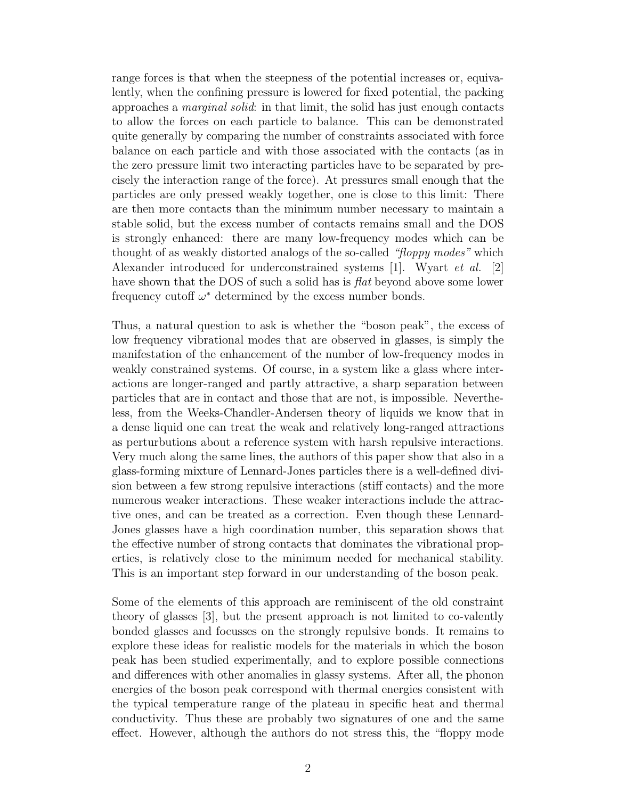range forces is that when the steepness of the potential increases or, equivalently, when the confining pressure is lowered for fixed potential, the packing approaches a marginal solid: in that limit, the solid has just enough contacts to allow the forces on each particle to balance. This can be demonstrated quite generally by comparing the number of constraints associated with force balance on each particle and with those associated with the contacts (as in the zero pressure limit two interacting particles have to be separated by precisely the interaction range of the force). At pressures small enough that the particles are only pressed weakly together, one is close to this limit: There are then more contacts than the minimum number necessary to maintain a stable solid, but the excess number of contacts remains small and the DOS is strongly enhanced: there are many low-frequency modes which can be thought of as weakly distorted analogs of the so-called "floppy modes" which Alexander introduced for underconstrained systems [1]. Wyart et al. [2] have shown that the DOS of such a solid has is *flat* beyond above some lower frequency cutoff  $\omega^*$  determined by the excess number bonds.

Thus, a natural question to ask is whether the "boson peak", the excess of low frequency vibrational modes that are observed in glasses, is simply the manifestation of the enhancement of the number of low-frequency modes in weakly constrained systems. Of course, in a system like a glass where interactions are longer-ranged and partly attractive, a sharp separation between particles that are in contact and those that are not, is impossible. Nevertheless, from the Weeks-Chandler-Andersen theory of liquids we know that in a dense liquid one can treat the weak and relatively long-ranged attractions as perturbutions about a reference system with harsh repulsive interactions. Very much along the same lines, the authors of this paper show that also in a glass-forming mixture of Lennard-Jones particles there is a well-defined division between a few strong repulsive interactions (stiff contacts) and the more numerous weaker interactions. These weaker interactions include the attractive ones, and can be treated as a correction. Even though these Lennard-Jones glasses have a high coordination number, this separation shows that the effective number of strong contacts that dominates the vibrational properties, is relatively close to the minimum needed for mechanical stability. This is an important step forward in our understanding of the boson peak.

Some of the elements of this approach are reminiscent of the old constraint theory of glasses [3], but the present approach is not limited to co-valently bonded glasses and focusses on the strongly repulsive bonds. It remains to explore these ideas for realistic models for the materials in which the boson peak has been studied experimentally, and to explore possible connections and differences with other anomalies in glassy systems. After all, the phonon energies of the boson peak correspond with thermal energies consistent with the typical temperature range of the plateau in specific heat and thermal conductivity. Thus these are probably two signatures of one and the same effect. However, although the authors do not stress this, the "floppy mode